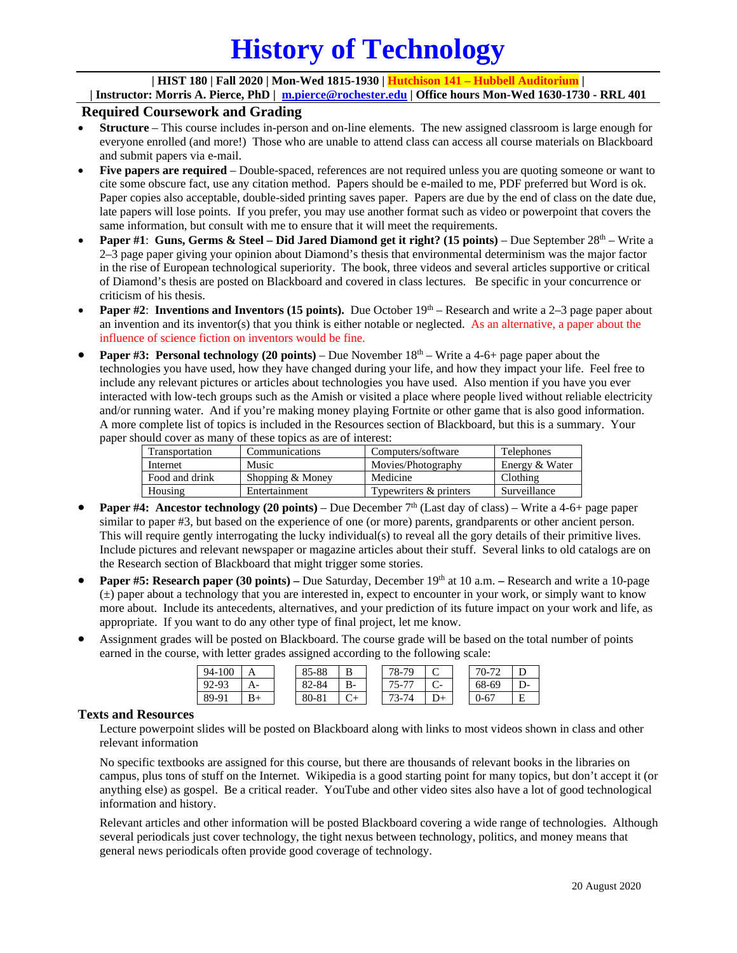# **History of Technology**

### **| HIST 180 | Fall 2020 | Mon-Wed 1815-1930 | Hutchison 141 – Hubbell Auditorium |**

**| Instructor: Morris A. Pierce, PhD | [m.pierce@rochester.edu](mailto:m.pierce@rochester.edu) | Office hours Mon-Wed 1630-1730 - RRL 401**

## **Required Coursework and Grading**

- **Structure** This course includes in-person and on-line elements. The new assigned classroom is large enough for everyone enrolled (and more!) Those who are unable to attend class can access all course materials on Blackboard and submit papers via e-mail.
- **Five papers are required** Double-spaced, references are not required unless you are quoting someone or want to cite some obscure fact, use any citation method. Papers should be e-mailed to me, PDF preferred but Word is ok. Paper copies also acceptable, double-sided printing saves paper. Papers are due by the end of class on the date due, late papers will lose points. If you prefer, you may use another format such as video or powerpoint that covers the same information, but consult with me to ensure that it will meet the requirements.
- **Paper #1: Guns, Germs & Steel Did Jared Diamond get it right? (15 points) Due September 28<sup>th</sup> Write a** 2–3 page paper giving your opinion about Diamond's thesis that environmental determinism was the major factor in the rise of European technological superiority. The book, three videos and several articles supportive or critical of Diamond's thesis are posted on Blackboard and covered in class lectures. Be specific in your concurrence or criticism of his thesis.
- **Paper #2: Inventions and Inventors (15 points).** Due October 19<sup>th</sup> Research and write a 2–3 page paper about an invention and its inventor(s) that you think is either notable or neglected. As an alternative, a paper about the influence of science fiction on inventors would be fine.
- **Paper #3: Personal technology (20 points)** Due November 18<sup>th</sup> Write a 4-6+ page paper about the technologies you have used, how they have changed during your life, and how they impact your life. Feel free to include any relevant pictures or articles about technologies you have used. Also mention if you have you ever interacted with low-tech groups such as the Amish or visited a place where people lived without reliable electricity and/or running water. And if you're making money playing Fortnite or other game that is also good information. A more complete list of topics is included in the Resources section of Blackboard, but this is a summary. Your paper should cover as many of these topics as are of interest:

| Transportation | Communications   | Computers/software     | <b>Telephones</b> |
|----------------|------------------|------------------------|-------------------|
| Internet       | Music            | Movies/Photography     | Energy & Water    |
| Food and drink | Shopping & Money | Medicine               | Clothing          |
| Housing        | Entertainment    | Typewriters & printers | Surveillance      |

- **Paper #4: Ancestor technology (20 points)** Due December  $7<sup>th</sup>$  (Last day of class) Write a 4-6+ page paper similar to paper #3, but based on the experience of one (or more) parents, grandparents or other ancient person. This will require gently interrogating the lucky individual(s) to reveal all the gory details of their primitive lives. Include pictures and relevant newspaper or magazine articles about their stuff. Several links to old catalogs are on the Research section of Blackboard that might trigger some stories.
- **Paper #5: Research paper (30 points) –** Due Saturday, December 19th at 10 a.m. **–** Research and write a 10-page  $(\pm)$  paper about a technology that you are interested in, expect to encounter in your work, or simply want to know more about. Include its antecedents, alternatives, and your prediction of its future impact on your work and life, as appropriate. If you want to do any other type of final project, let me know.
- Assignment grades will be posted on Blackboard. The course grade will be based on the total number of points earned in the course, with letter grades assigned according to the following scale:

| 94-100 |           | 5-88  | ≖  | 70.<br>78-7. | ◡      | $70-7.$ |         |
|--------|-----------|-------|----|--------------|--------|---------|---------|
| 92-93  |           | 82-84 | В- | $15 -$       | $\sim$ | 68-69   |         |
| 89-91  | <u>р.</u> | 80-81 |    | –ר           |        | 0-67    | Е<br>J. |

## **Texts and Resources**

Lecture powerpoint slides will be posted on Blackboard along with links to most videos shown in class and other relevant information

No specific textbooks are assigned for this course, but there are thousands of relevant books in the libraries on campus, plus tons of stuff on the Internet. Wikipedia is a good starting point for many topics, but don't accept it (or anything else) as gospel. Be a critical reader. YouTube and other video sites also have a lot of good technological information and history.

Relevant articles and other information will be posted Blackboard covering a wide range of technologies. Although several periodicals just cover technology, the tight nexus between technology, politics, and money means that general news periodicals often provide good coverage of technology.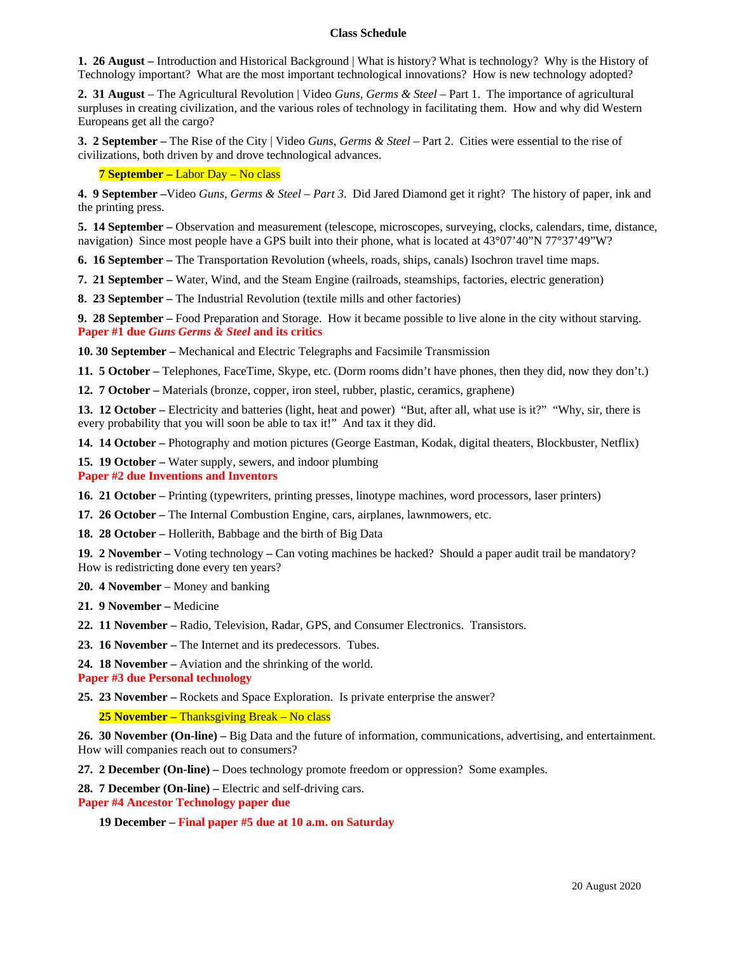#### **Class Schedule**

**1. 26 August –** Introduction and Historical Background | What is history? What is technology? Why is the History of Technology important? What are the most important technological innovations? How is new technology adopted?

**2. 31 August** *–* The Agricultural Revolution | Video *Guns, Germs & Steel* – Part 1. The importance of agricultural surpluses in creating civilization, and the various roles of technology in facilitating them. How and why did Western Europeans get all the cargo?

**3. 2 September –** The Rise of the City | Video *Guns, Germs & Steel* – Part 2. Cities were essential to the rise of civilizations, both driven by and drove technological advances.

#### **7 September –** Labor Day – No class

**4. 9 September –**Video *Guns, Germs & Steel – Part 3*. Did Jared Diamond get it right? The history of paper, ink and the printing press.

**5. 14 September –** Observation and measurement (telescope, microscopes, surveying, clocks, calendars, time, distance, navigation) Since most people have a GPS built into their phone, what is located at 43°07'40"N 77°37'49"W?

**6. 16 September –** The Transportation Revolution (wheels, roads, ships, canals) Isochron travel time maps.

**7. 21 September –** Water, Wind, and the Steam Engine (railroads, steamships, factories, electric generation)

**8. 23 September –** The Industrial Revolution (textile mills and other factories)

**9. 28 September –** Food Preparation and Storage. How it became possible to live alone in the city without starving. **Paper #1 due** *Guns Germs & Steel* **and its critics**

**10. 30 September –** Mechanical and Electric Telegraphs and Facsimile Transmission

**11. 5 October –** Telephones, FaceTime, Skype, etc. (Dorm rooms didn't have phones, then they did, now they don't.)

**12. 7 October –** Materials (bronze, copper, iron steel, rubber, plastic, ceramics, graphene)

**13. 12 October –** Electricity and batteries (light, heat and power) "But, after all, what use is it?" "Why, sir, there is every probability that you will soon be able to tax it!" And tax it they did.

**14. 14 October –** Photography and motion pictures (George Eastman, Kodak, digital theaters, Blockbuster, Netflix)

**15. 19 October –** Water supply, sewers, and indoor plumbing

**Paper #2 due Inventions and Inventors**

**16. 21 October –** Printing (typewriters, printing presses, linotype machines, word processors, laser printers)

**17. 26 October –** The Internal Combustion Engine, cars, airplanes, lawnmowers, etc.

**18. 28 October –** Hollerith, Babbage and the birth of Big Data

**19. 2 November –** Voting technology **–** Can voting machines be hacked? Should a paper audit trail be mandatory? How is redistricting done every ten years?

**20. 4 November** – Money and banking

**21. 9 November –** Medicine

**22. 11 November –** Radio, Television, Radar, GPS, and Consumer Electronics. Transistors.

**23. 16 November –** The Internet and its predecessors. Tubes.

**24. 18 November –** Aviation and the shrinking of the world.

**Paper #3 due Personal technology**

**25. 23 November –** Rockets and Space Exploration. Is private enterprise the answer?

 **25 November –** Thanksgiving Break – No class

**26. 30 November (On-line) –** Big Data and the future of information, communications, advertising, and entertainment. How will companies reach out to consumers?

**27. 2 December (On-line) –** Does technology promote freedom or oppression? Some examples.

**28. 7 December (On-line) –** Electric and self-driving cars.

**Paper #4 Ancestor Technology paper due**

 **19 December – Final paper #5 due at 10 a.m. on Saturday**